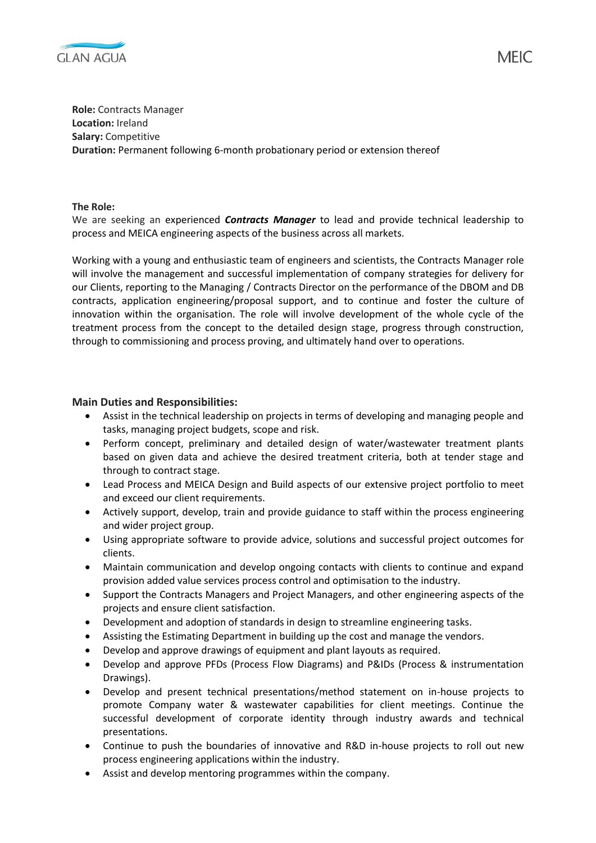

**Role:** Contracts Manager **Location:** Ireland **Salary:** Competitive **Duration:** Permanent following 6-month probationary period or extension thereof

**The Role:**

We are seeking an experienced *Contracts Manager* to lead and provide technical leadership to process and MEICA engineering aspects of the business across all markets.

Working with a young and enthusiastic team of engineers and scientists, the Contracts Manager role will involve the management and successful implementation of company strategies for delivery for our Clients, reporting to the Managing / Contracts Director on the performance of the DBOM and DB contracts, application engineering/proposal support, and to continue and foster the culture of innovation within the organisation. The role will involve development of the whole cycle of the treatment process from the concept to the detailed design stage, progress through construction, through to commissioning and process proving, and ultimately hand over to operations.

## **Main Duties and Responsibilities:**

- Assist in the technical leadership on projects in terms of developing and managing people and tasks, managing project budgets, scope and risk.
- Perform concept, preliminary and detailed design of water/wastewater treatment plants based on given data and achieve the desired treatment criteria, both at tender stage and through to contract stage.
- Lead Process and MEICA Design and Build aspects of our extensive project portfolio to meet and exceed our client requirements.
- Actively support, develop, train and provide guidance to staff within the process engineering and wider project group.
- Using appropriate software to provide advice, solutions and successful project outcomes for clients.
- Maintain communication and develop ongoing contacts with clients to continue and expand provision added value services process control and optimisation to the industry.
- Support the Contracts Managers and Project Managers, and other engineering aspects of the projects and ensure client satisfaction.
- Development and adoption of standards in design to streamline engineering tasks.
- Assisting the Estimating Department in building up the cost and manage the vendors.
- Develop and approve drawings of equipment and plant layouts as required.
- Develop and approve PFDs (Process Flow Diagrams) and P&IDs (Process & instrumentation Drawings).
- Develop and present technical presentations/method statement on in-house projects to promote Company water & wastewater capabilities for client meetings. Continue the successful development of corporate identity through industry awards and technical presentations.
- Continue to push the boundaries of innovative and R&D in-house projects to roll out new process engineering applications within the industry.
- Assist and develop mentoring programmes within the company.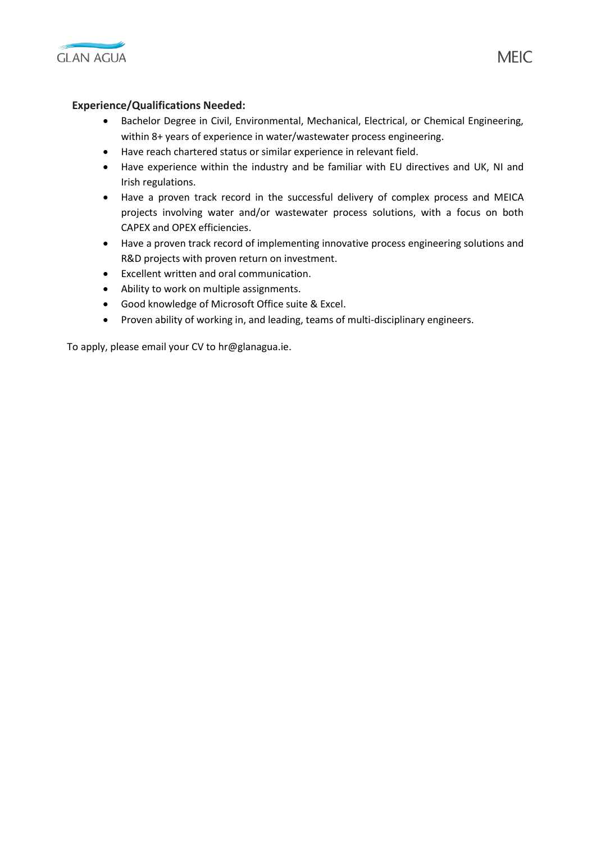

## **Experience/Qualifications Needed:**

- Bachelor Degree in Civil, Environmental, Mechanical, Electrical, or Chemical Engineering, within 8+ years of experience in water/wastewater process engineering.
- Have reach chartered status or similar experience in relevant field.
- Have experience within the industry and be familiar with EU directives and UK, NI and Irish regulations.
- Have a proven track record in the successful delivery of complex process and MEICA projects involving water and/or wastewater process solutions, with a focus on both CAPEX and OPEX efficiencies.
- Have a proven track record of implementing innovative process engineering solutions and R&D projects with proven return on investment.
- Excellent written and oral communication.
- Ability to work on multiple assignments.
- Good knowledge of Microsoft Office suite & Excel.
- Proven ability of working in, and leading, teams of multi-disciplinary engineers.

To apply, please email your CV to hr@glanagua.ie.